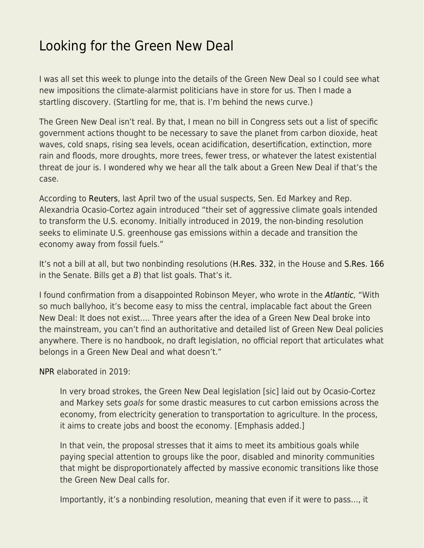## [Looking for the Green New Deal](https://everything-voluntary.com/looking-for-the-green-new-deal)

I was all set this week to plunge into the details of the Green New Deal so I could see what new impositions the climate-alarmist politicians have in store for us. Then I made a startling discovery. (Startling for me, that is. I'm behind the news curve.)

The Green New Deal isn't real. By that, I mean no bill in Congress sets out a list of specific government actions thought to be necessary to save the planet from carbon dioxide, heat waves, cold snaps, rising sea levels, ocean acidification, desertification, extinction, more rain and floods, more droughts, more trees, fewer tress, or whatever the latest existential threat de jour is. I wondered why we hear all the talk about a Green New Deal if that's the case.

According to [Reuters](https://www.reuters.com/world/us/ahead-bidens-climate-summit-lawmakers-relaunch-green-new-deal-2021-04-20/), last April two of the usual suspects, Sen. Ed Markey and Rep. Alexandria Ocasio-Cortez again introduced "their set of aggressive climate goals intended to transform the U.S. economy. Initially introduced in 2019, the non-binding resolution seeks to eliminate U.S. greenhouse gas emissions within a decade and transition the economy away from fossil fuels."

It's not a bill at all, but two nonbinding resolutions [\(H.Res. 332](https://www.congress.gov/bill/117th-congress/house-resolution/332/text?q=%7B%22search%22%3A%5B%22%5C%22green+new+deal%5C%22%22%2C%22%5C%22green%22%2C%22new%22%2C%22deal%5C%22%22%5D%7D&r=2&s=1), in the House and [S.Res. 166](https://www.congress.gov/bill/117th-congress/senate-resolution/166/text?q=%7B%22search%22%3A%5B%22green+new+deal%22%5D%7D&r=1&s=1) in the Senate. Bills get a  $B$ ) that list goals. That's it.

I found confirmation from a disappointed Robinson Meyer, who wrote in the [Atlantic,](https://www.theatlantic.com/science/archive/2021/07/the-green-new-deal-doesnt-exist/619424/) "With so much ballyhoo, it's become easy to miss the central, implacable fact about the Green New Deal: It does not exist…. Three years after the idea of a Green New Deal broke into the mainstream, you can't find an authoritative and detailed list of Green New Deal policies anywhere. There is no handbook, no draft legislation, no official report that articulates what belongs in a Green New Deal and what doesn't."

[NPR](https://www.npr.org/2019/02/07/691997301/rep-alexandria-ocasio-cortez-releases-green-new-deal-outline) elaborated in 2019:

In very broad strokes, the Green New Deal legislation [sic] laid out by Ocasio-Cortez and Markey sets goals for some drastic measures to cut carbon emissions across the economy, from electricity generation to transportation to agriculture. In the process, it aims to create jobs and boost the economy. [Emphasis added.]

In that vein, the proposal stresses that it aims to meet its ambitious goals while paying special attention to groups like the poor, disabled and minority communities that might be disproportionately affected by massive economic transitions like those the Green New Deal calls for.

Importantly, it's a nonbinding resolution, meaning that even if it were to pass…, it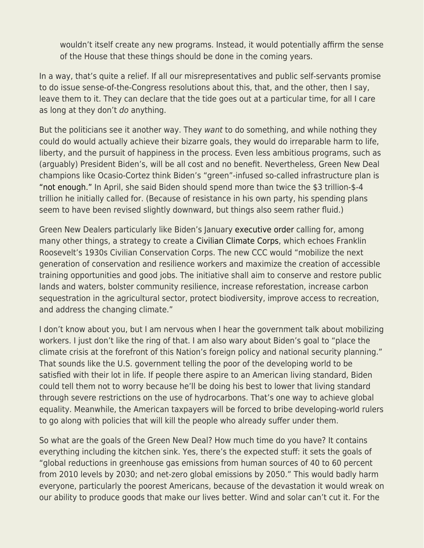wouldn't itself create any new programs. Instead, it would potentially affirm the sense of the House that these things should be done in the coming years.

In a way, that's quite a relief. If all our misrepresentatives and public self-servants promise to do issue sense-of-the-Congress resolutions about this, that, and the other, then I say, leave them to it. They can declare that the tide goes out at a particular time, for all I care as long at they don't do anything.

But the politicians see it another way. They want to do something, and while nothing they could do would actually achieve their bizarre goals, they would do irreparable harm to life, liberty, and the pursuit of happiness in the process. Even less ambitious programs, such as (arguably) President Biden's, will be all cost and no benefit. Nevertheless, Green New Deal champions like Ocasio-Cortez think Biden's "green"-infused so-called infrastructure plan is ["not enough."](https://www.blogger.com/blog/post/edit/20077444/3041238401262116488#) In April, she said Biden should spend more than twice the \$3 trillion-\$-4 trillion he initially called for. (Because of resistance in his own party, his spending plans seem to have been revised slightly downward, but things also seem rather fluid.)

Green New Dealers particularly like Biden's January [executive order](https://www.whitehouse.gov/briefing-room/presidential-actions/2021/01/27/executive-order-on-tackling-the-climate-crisis-at-home-and-abroad/#:~:text=215.,Civilian%20Climate%20Corps.&text=The%20initiative%20shall%20aim%20to,and%20address%20the%20changing%20climate.) calling for, among many other things, a strategy to create a [Civilian Climate Corps,](https://www.npr.org/2021/05/11/993976948/reaching-back-to-the-new-deal-biden-proposes-a-civilian-climate-corps) which echoes Franklin Roosevelt's 1930s Civilian Conservation Corps. The new CCC would "mobilize the next generation of conservation and resilience workers and maximize the creation of accessible training opportunities and good jobs. The initiative shall aim to conserve and restore public lands and waters, bolster community resilience, increase reforestation, increase carbon sequestration in the agricultural sector, protect biodiversity, improve access to recreation, and address the changing climate."

I don't know about you, but I am nervous when I hear the government talk about mobilizing workers. I just don't like the ring of that. I am also wary about Biden's goal to "place the climate crisis at the forefront of this Nation's foreign policy and national security planning." That sounds like the U.S. government telling the poor of the developing world to be satisfied with their lot in life. If people there aspire to an American living standard, Biden could tell them not to worry because he'll be doing his best to lower that living standard through severe restrictions on the use of hydrocarbons. That's one way to achieve global equality. Meanwhile, the American taxpayers will be forced to bribe developing-world rulers to go along with policies that will kill the people who already suffer under them.

So what are the goals of the Green New Deal? How much time do you have? It contains everything including the kitchen sink. Yes, there's the expected stuff: it sets the goals of "global reductions in greenhouse gas emissions from human sources of 40 to 60 percent from 2010 levels by 2030; and net-zero global emissions by 2050." This would badly harm everyone, particularly the poorest Americans, because of the devastation it would wreak on our ability to produce goods that make our lives better. Wind and solar can't cut it. For the